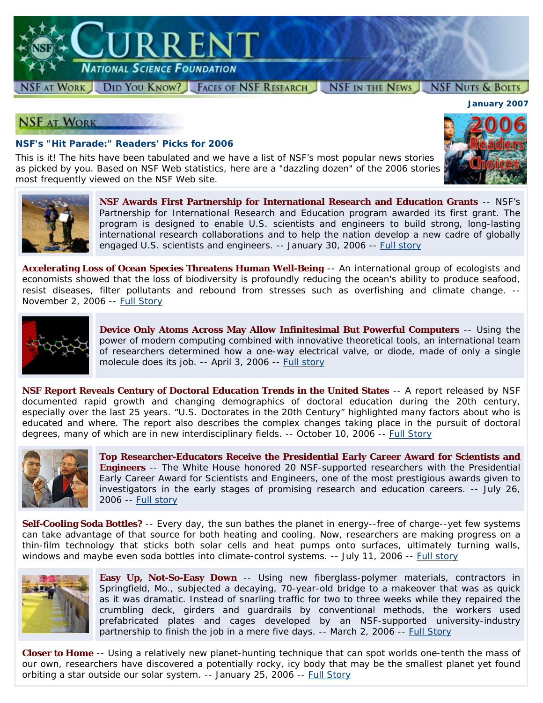

#### NSF AT WORK DID YOU KNOW? FACES OF NSF RESEARCH NSF IN THE NEWS **NSF NUTS & BOLTS**

## **NSF AT WORK**

### **NSF's "Hit Parade:" Readers' Picks for 2006**

This is it! The hits have been tabulated and we have a list of NSF's most popular news stories as picked by you. Based on NSF Web statistics, here are a "dazzling dozen" of the 2006 stories most frequently viewed on the NSF Web site.





**NSF Awards First Partnership for International Research and Education Grants** -- NSF's Partnership for International Research and Education program awarded its first grant. The program is designed to enable U.S. scientists and engineers to build strong, long-lasting international research collaborations and to help the nation develop a new cadre of globally engaged U.S. scientists and engineers. -- January 30, 2006 -- [Full story](http://www.nsf.gov/news/news_summ.jsp?cntn_id=105766)

**Accelerating Loss of Ocean Species Threatens Human Well-Being** -- An international group of ecologists and economists showed that the loss of biodiversity is profoundly reducing the ocean's ability to produce seafood, resist diseases, filter pollutants and rebound from stresses such as overfishing and climate change. -- November 2, 2006 -- [Full Story](http://www.nsf.gov/news/news_summ.jsp?cntn_id=108149)



**Device Only Atoms Across May Allow Infinitesimal But Powerful Computers** -- Using the power of modern computing combined with innovative theoretical tools, an international team of researchers determined how a one-way electrical valve, or diode, made of only a single molecule does its job. -- April 3, 2006 -- [Full story](http://www.nsf.gov/news/news_summ.jsp?cntn_id=106836)

**NSF Report Reveals Century of Doctoral Education Trends in the United States** -- A report released by NSF documented rapid growth and changing demographics of doctoral education during the 20th century, especially over the last 25 years. "U.S. Doctorates in the 20th Century" highlighted many factors about who is educated and where. The report also describes the complex changes taking place in the pursuit of doctoral degrees, many of which are in new interdisciplinary fields. -- October 10, 2006 -- [Full Story](http://www.nsf.gov/news/news_summ.jsp?cntn_id=108085)



**Top Researcher-Educators Receive the Presidential Early Career Award for Scientists and Engineers** -- The White House honored 20 NSF-supported researchers with the Presidential Early Career Award for Scientists and Engineers, one of the most prestigious awards given to investigators in the early stages of promising research and education careers. -- July 26, 2006 -- [Full story](http://www.nsf.gov/news/news_summ.jsp?cntn_id=107118)

**Self-Cooling Soda Bottles?** -- Every day, the sun bathes the planet in energy--free of charge--yet few systems can take advantage of that source for both heating and cooling. Now, researchers are making progress on a thin-film technology that sticks both solar cells and heat pumps onto surfaces, ultimately turning walls, windows and maybe even soda bottles into climate-control systems. -- July 11, 2006 -- [Full story](http://www.nsf.gov/news/news_summ.jsp?cntn_id=107086)



**Easy Up, Not-So-Easy Down** -- Using new fiberglass-polymer materials, contractors in Springfield, Mo., subjected a decaying, 70-year-old bridge to a makeover that was as quick as it was dramatic. Instead of snarling traffic for two to three weeks while they repaired the crumbling deck, girders and guardrails by conventional methods, the workers used prefabricated plates and cages developed by an NSF-supported university-industry partnership to finish the job in a mere five days. -- March 2, 2006 -- [Full Story](http://www.nsf.gov/news/news_summ.jsp?cntn_id=106729)

**Closer to Home** -- Using a relatively new planet-hunting technique that can spot worlds one-tenth the mass of our own, researchers have discovered a potentially rocky, icy body that may be the smallest planet yet found orbiting a star outside our solar system. -- January 25, 2006 -- [Full Story](http://www.nsf.gov/news/news_summ.jsp?cntn_id=105759)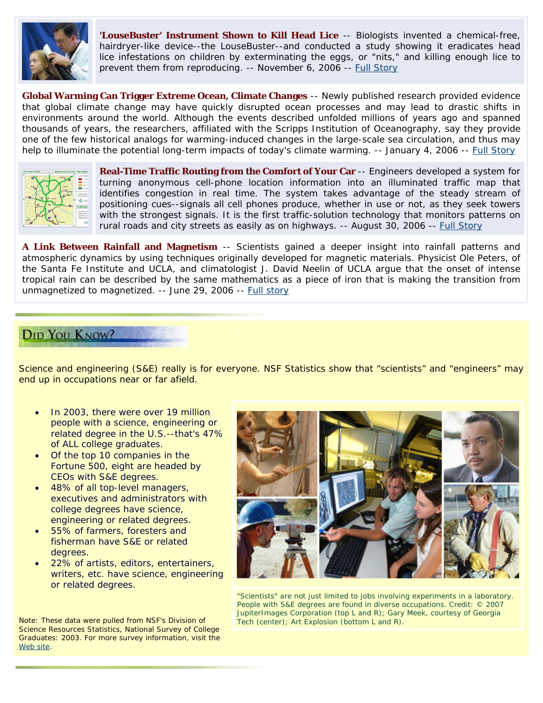

**'LouseBuster' Instrument Shown to Kill Head Lice** -- Biologists invented a chemical-free, hairdryer-like device--the LouseBuster--and conducted a study showing it eradicates head lice infestations on children by exterminating the eggs, or "nits," and killing enough lice to prevent them from reproducing. -- November 6, 2006 -- [Full Story](http://www.nsf.gov/news/news_summ.jsp?cntn_id=108162)

**Global Warming Can Trigger Extreme Ocean, Climate Changes** -- Newly published research provided evidence that global climate change may have quickly disrupted ocean processes and may lead to drastic shifts in environments around the world. Although the events described unfolded millions of years ago and spanned thousands of years, the researchers, affiliated with the Scripps Institution of Oceanography, say they provide one of the few historical analogs for warming-induced changes in the large-scale sea circulation, and thus may help to illuminate the potential long-term impacts of today's climate warming. -- January 4, 2006 -- [Full Story](http://www.nsf.gov/news/news_summ.jsp?cntn_id=105692)



**Real-Time Traffic Routing from the Comfort of Your Car** -- Engineers developed a system for turning anonymous cell-phone location information into an illuminated traffic map that identifies congestion in real time. The system takes advantage of the steady stream of positioning cues--signals all cell phones produce, whether in use or not, as they seek towers with the strongest signals. It is the first traffic-solution technology that monitors patterns on rural roads and city streets as easily as on highways. -- August 30, 2006 -- [Full Story](http://www.nsf.gov/news/news_summ.jsp?cntn_id=107972)

**A Link Between Rainfall and Magnetism** -- Scientists gained a deeper insight into rainfall patterns and atmospheric dynamics by using techniques originally developed for magnetic materials. Physicist Ole Peters, of the Santa Fe Institute and UCLA, and climatologist J. David Neelin of UCLA argue that the onset of intense tropical rain can be described by the same mathematics as a piece of iron that is making the transition from unmagnetized to magnetized. -- June 29, 2006 -- [Full story](http://www.nsf.gov/news/news_summ.jsp?cntn_id=107070)

## **DID YOU KNOW?**

Science and engineering (S&E) really is for everyone. NSF Statistics show that "scientists" and "engineers" may end up in occupations near or far afield.

- In 2003, there were over 19 million people with a science, engineering or related degree in the U.S.--that's 47% of ALL college graduates.
- Of the top 10 companies in the Fortune 500, eight are headed by CEOs with S&E degrees.
- 48% of all top-level managers, executives and administrators with college degrees have science, engineering or related degrees.
- 55% of farmers, foresters and fisherman have S&E or related degrees.
- 22% of artists, editors, entertainers, writers, etc. have science, engineering or related degrees.

Note: These data were pulled from NSF's Division of Science Resources Statistics, *National Survey of College Graduates: 2003*. For more survey information, visit the [Web site](http://www.nsf.gov/statistics/srvyrecentgrads/).



*"Scientists" are not just limited to jobs involving experiments in a laboratory. People with S&E degrees are found in diverse occupations. Credit: © 2007 JupiterImages Corporation (top L and R); Gary Meek, courtesy of Georgia Tech (center); Art Explosion (bottom L and R).*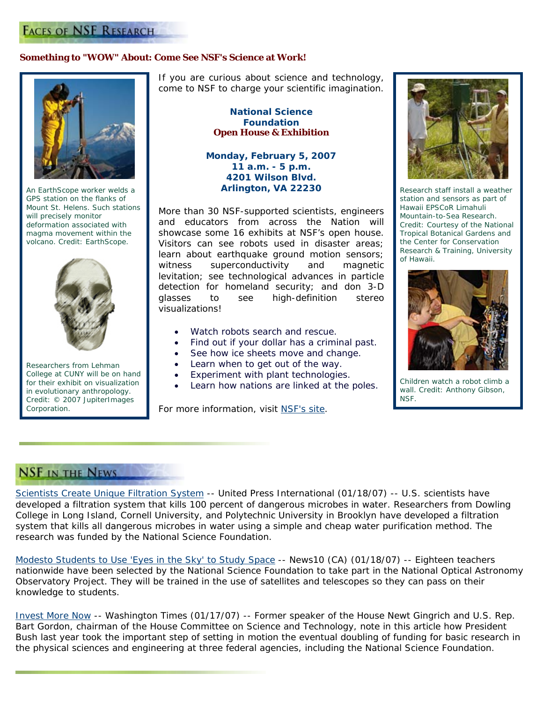### **Something to "WOW" About: Come See NSF's Science at Work!**



*An EarthScope worker welds a GPS station on the flanks of Mount St. Helens. Such stations will precisely monitor deformation associated with magma movement within the volcano. Credit: EarthScope.* 



*Researchers from Lehman College at CUNY will be on hand for their exhibit on visualization in evolutionary anthropology. Credit: © 2007 JupiterImages Corporation.*

If you are curious about science and technology, come to NSF to charge your scientific imagination.

> **National Science Foundation Open House & Exhibition**

**Monday, February 5, 2007 11 a.m. - 5 p.m. 4201 Wilson Blvd. Arlington, VA 22230** 

More than 30 NSF-supported scientists, engineers showcase some 16 exhibits at NSF's open house. and educators from across the Nation will Visitors can see robots used in disaster areas; learn about earthquake ground motion sensors; witness superconductivity and magnetic levitation; see technological advances in particle detection for homeland security; and don 3-D glasses to see high-definition stereo visualizations!

- Watch robots search and rescue.
- Find out if your dollar has a criminal past.
- See how ice sheets move and change.
- Learn when to get out of the way.
- Experiment with plant technologies.
- Learn how nations are linked at the poles.

For more information, visit NSF's site.



*Research staff install a weather station and sensors as part of Hawaii EPSCoR Limahuli Mountain-to-Sea Research. Credit: Courtesy of the National Tropical Botanical Gardens and the Center for Conservation Research & Training, University of Hawaii.* 



*Children watch a robot climb a wall. Credit: Anthony Gibson, NSF.* 

# **NSF IN THE NEWS**

Scientists Create Unique Filtration System -- *United Press International (01/18/07)* -- U.S. scientists have developed a filtration system that kills 100 percent of dangerous microbes in water. Researchers from Dowling College in Long Island, Cornell University, and Polytechnic University in Brooklyn have developed a filtration system that kills all dangerous microbes in water using a simple and cheap water purification method. The research was funded by the National Science Foundation.

[Modesto Students to Use 'Eyes in the Sky' to Study Space](http://www.sciencedaily.com/upi/index.php?feed=Science&article=UPI-1-20070118-16150400-bc-us-purification.xml) -- *News10 (CA) (01/18/07)* -- Eighteen teachers nationwide have been selected by the National Science Foundation to take part in the National Optical Astronomy Observatory Project. They will be trained in the use of satellites and telescopes so they can pass on their knowledge to students.

[Invest More Now](http://www.news10.net/storyfull2.aspx?storyid=23528) -- *Washington Times (01/17/07)* -- Former speaker of the House Newt Gingrich and U.S. Rep. Bart Gordon, chairman of the House Committee on Science and Technology, note in this article how Presiden t Bush last year took the important step of setting in motion the eventual doubling of funding for basic research in the physical sciences and engineering at three federal agencies, including the National Science Foundation.